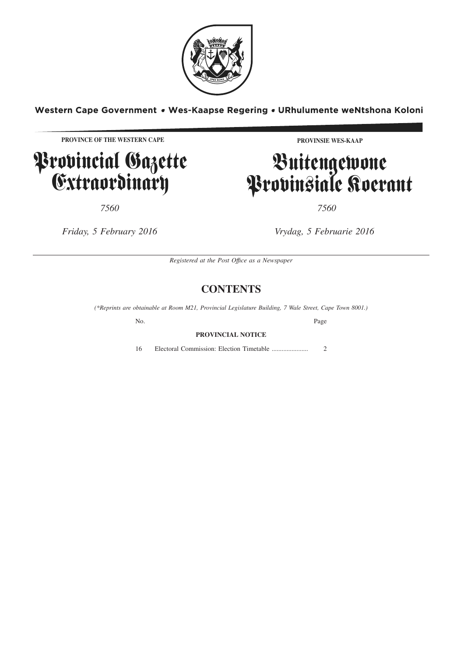

Western Cape Government . Wes-Kaapse Regering . URhulumente weNtshona Koloni

**PROVINCE OF THE WESTERN CAPE**

**P**rovincial Gazette Extraordinary

**PROVINSIE WES-KAAP**

# Buitengewone Provinsiale Koerant

*7560 7560*

*Friday, 5 February 2016 Vrydag, 5 Februarie 2016*

*Registered at the Post Offıce as a Newspaper*

## **CONTENTS**

*(\*Reprints are obtainable at Room M21, Provincial Legislature Building, 7 Wale Street, Cape Town 8001.)*

No. Page

### **PROVINCIAL NOTICE**

16 Electoral Commission: Election Timetable ...................... 2